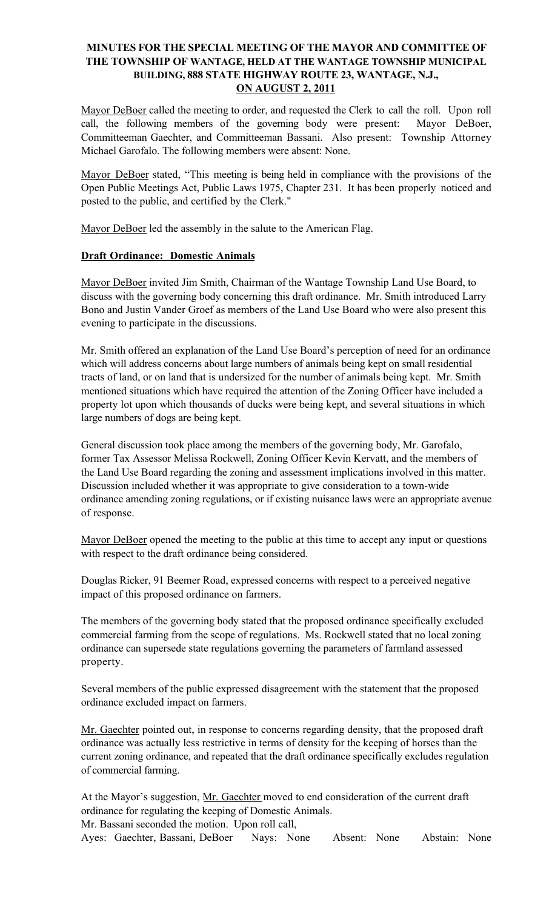## MINUTES FOR THE SPECIAL MEETING OF THE MAYOR AND COMMITTEE OF THE TOWNSHIP OF WANTAGE, HELD AT THE WANTAGE TOWNSHIP MUNICIPAL BUILDING, 888 STATE HIGHWAY ROUTE 23, WANTAGE, N.J., ON AUGUST 2, 2011

Mayor DeBoer called the meeting to order, and requested the Clerk to call the roll. Upon roll call, the following members of the governing body were present: Mayor DeBoer, Committeeman Gaechter, and Committeeman Bassani. Also present: Township Attorney Michael Garofalo. The following members were absent: None.

Mayor DeBoer stated, "This meeting is being held in compliance with the provisions of the Open Public Meetings Act, Public Laws 1975, Chapter 231. It has been properly noticed and posted to the public, and certified by the Clerk."

Mayor DeBoer led the assembly in the salute to the American Flag.

## Draft Ordinance: Domestic Animals

Mayor DeBoer invited Jim Smith, Chairman of the Wantage Township Land Use Board, to discuss with the governing body concerning this draft ordinance. Mr. Smith introduced Larry Bono and Justin Vander Groef as members of the Land Use Board who were also present this evening to participate in the discussions.

Mr. Smith offered an explanation of the Land Use Board's perception of need for an ordinance which will address concerns about large numbers of animals being kept on small residential tracts of land, or on land that is undersized for the number of animals being kept. Mr. Smith mentioned situations which have required the attention of the Zoning Officer have included a property lot upon which thousands of ducks were being kept, and several situations in which large numbers of dogs are being kept.

General discussion took place among the members of the governing body, Mr. Garofalo, former Tax Assessor Melissa Rockwell, Zoning Officer Kevin Kervatt, and the members of the Land Use Board regarding the zoning and assessment implications involved in this matter. Discussion included whether it was appropriate to give consideration to a town-wide ordinance amending zoning regulations, or if existing nuisance laws were an appropriate avenue of response.

Mayor DeBoer opened the meeting to the public at this time to accept any input or questions with respect to the draft ordinance being considered.

Douglas Ricker, 91 Beemer Road, expressed concerns with respect to a perceived negative impact of this proposed ordinance on farmers.

The members of the governing body stated that the proposed ordinance specifically excluded commercial farming from the scope of regulations. Ms. Rockwell stated that no local zoning ordinance can supersede state regulations governing the parameters of farmland assessed property.

Several members of the public expressed disagreement with the statement that the proposed ordinance excluded impact on farmers.

Mr. Gaechter pointed out, in response to concerns regarding density, that the proposed draft ordinance was actually less restrictive in terms of density for the keeping of horses than the current zoning ordinance, and repeated that the draft ordinance specifically excludes regulation of commercial farming.

At the Mayor's suggestion, Mr. Gaechter moved to end consideration of the current draft ordinance for regulating the keeping of Domestic Animals. Mr. Bassani seconded the motion. Upon roll call,

Ayes: Gaechter, Bassani, DeBoer Nays: None Absent: None Abstain: None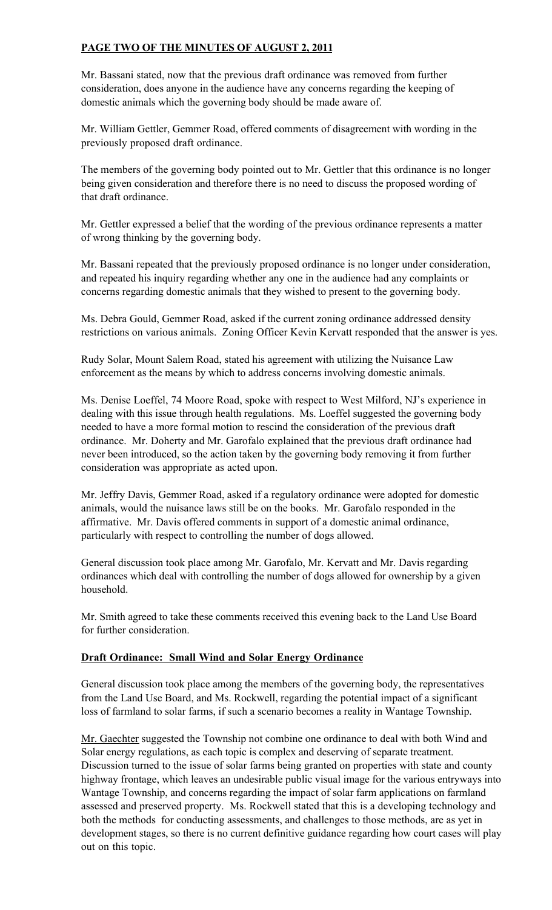# PAGE TWO OF THE MINUTES OF AUGUST 2, 2011

Mr. Bassani stated, now that the previous draft ordinance was removed from further consideration, does anyone in the audience have any concerns regarding the keeping of domestic animals which the governing body should be made aware of.

Mr. William Gettler, Gemmer Road, offered comments of disagreement with wording in the previously proposed draft ordinance.

The members of the governing body pointed out to Mr. Gettler that this ordinance is no longer being given consideration and therefore there is no need to discuss the proposed wording of that draft ordinance.

Mr. Gettler expressed a belief that the wording of the previous ordinance represents a matter of wrong thinking by the governing body.

Mr. Bassani repeated that the previously proposed ordinance is no longer under consideration, and repeated his inquiry regarding whether any one in the audience had any complaints or concerns regarding domestic animals that they wished to present to the governing body.

Ms. Debra Gould, Gemmer Road, asked if the current zoning ordinance addressed density restrictions on various animals. Zoning Officer Kevin Kervatt responded that the answer is yes.

Rudy Solar, Mount Salem Road, stated his agreement with utilizing the Nuisance Law enforcement as the means by which to address concerns involving domestic animals.

Ms. Denise Loeffel, 74 Moore Road, spoke with respect to West Milford, NJ's experience in dealing with this issue through health regulations. Ms. Loeffel suggested the governing body needed to have a more formal motion to rescind the consideration of the previous draft ordinance. Mr. Doherty and Mr. Garofalo explained that the previous draft ordinance had never been introduced, so the action taken by the governing body removing it from further consideration was appropriate as acted upon.

Mr. Jeffry Davis, Gemmer Road, asked if a regulatory ordinance were adopted for domestic animals, would the nuisance laws still be on the books. Mr. Garofalo responded in the affirmative. Mr. Davis offered comments in support of a domestic animal ordinance, particularly with respect to controlling the number of dogs allowed.

General discussion took place among Mr. Garofalo, Mr. Kervatt and Mr. Davis regarding ordinances which deal with controlling the number of dogs allowed for ownership by a given household.

Mr. Smith agreed to take these comments received this evening back to the Land Use Board for further consideration.

## Draft Ordinance: Small Wind and Solar Energy Ordinance

General discussion took place among the members of the governing body, the representatives from the Land Use Board, and Ms. Rockwell, regarding the potential impact of a significant loss of farmland to solar farms, if such a scenario becomes a reality in Wantage Township.

Mr. Gaechter suggested the Township not combine one ordinance to deal with both Wind and Solar energy regulations, as each topic is complex and deserving of separate treatment. Discussion turned to the issue of solar farms being granted on properties with state and county highway frontage, which leaves an undesirable public visual image for the various entryways into Wantage Township, and concerns regarding the impact of solar farm applications on farmland assessed and preserved property. Ms. Rockwell stated that this is a developing technology and both the methods for conducting assessments, and challenges to those methods, are as yet in development stages, so there is no current definitive guidance regarding how court cases will play out on this topic.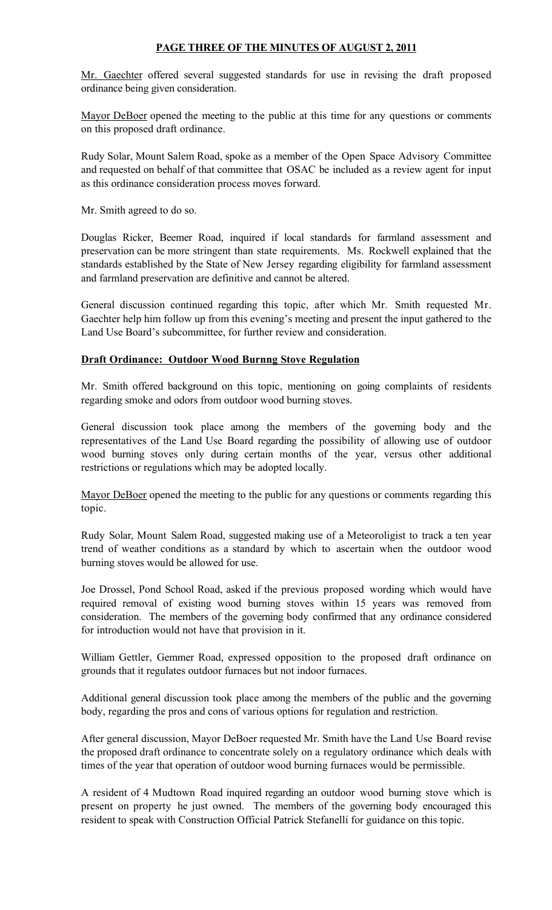## PAGE THREE OF THE MINUTES OF AUGUST 2, 2011

Mr. Gaechter offered several suggested standards for use in revising the draft proposed ordinance being given consideration.

Mayor DeBoer opened the meeting to the public at this time for any questions or comments on this proposed draft ordinance.

Rudy Solar, Mount Salem Road, spoke as a member of the Open Space Advisory Committee and requested on behalf of that committee that OSAC be included as a review agent for input as this ordinance consideration process moves forward.

Mr. Smith agreed to do so.

Douglas Ricker, Beemer Road, inquired if local standards for farmland assessment and preservation can be more stringent than state requirements. Ms. Rockwell explained that the standards established by the State of New Jersey regarding eligibility for farmland assessment and farmland preservation are definitive and cannot be altered.

General discussion continued regarding this topic, after which Mr. Smith requested Mr. Gaechter help him follow up from this evening's meeting and present the input gathered to the Land Use Board's subcommittee, for further review and consideration.

## Draft Ordinance: Outdoor Wood Burnng Stove Regulation

Mr. Smith offered background on this topic, mentioning on going complaints of residents regarding smoke and odors from outdoor wood burning stoves.

General discussion took place among the members of the governing body and the representatives of the Land Use Board regarding the possibility of allowing use of outdoor wood burning stoves only during certain months of the year, versus other additional restrictions or regulations which may be adopted locally.

Mayor DeBoer opened the meeting to the public for any questions or comments regarding this topic.

Rudy Solar, Mount Salem Road, suggested making use of a Meteoroligist to track a ten year trend of weather conditions as a standard by which to ascertain when the outdoor wood burning stoves would be allowed for use.

Joe Drossel, Pond School Road, asked if the previous proposed wording which would have required removal of existing wood burning stoves within 15 years was removed from consideration. The members of the governing body confirmed that any ordinance considered for introduction would not have that provision in it.

William Gettler, Gemmer Road, expressed opposition to the proposed draft ordinance on grounds that it regulates outdoor furnaces but not indoor furnaces.

Additional general discussion took place among the members of the public and the governing body, regarding the pros and cons of various options for regulation and restriction.

After general discussion, Mayor DeBoer requested Mr. Smith have the Land Use Board revise the proposed draft ordinance to concentrate solely on a regulatory ordinance which deals with times of the year that operation of outdoor wood burning furnaces would be permissible.

A resident of 4 Mudtown Road inquired regarding an outdoor wood burning stove which is present on property he just owned. The members of the governing body encouraged this resident to speak with Construction Official Patrick Stefanelli for guidance on this topic.